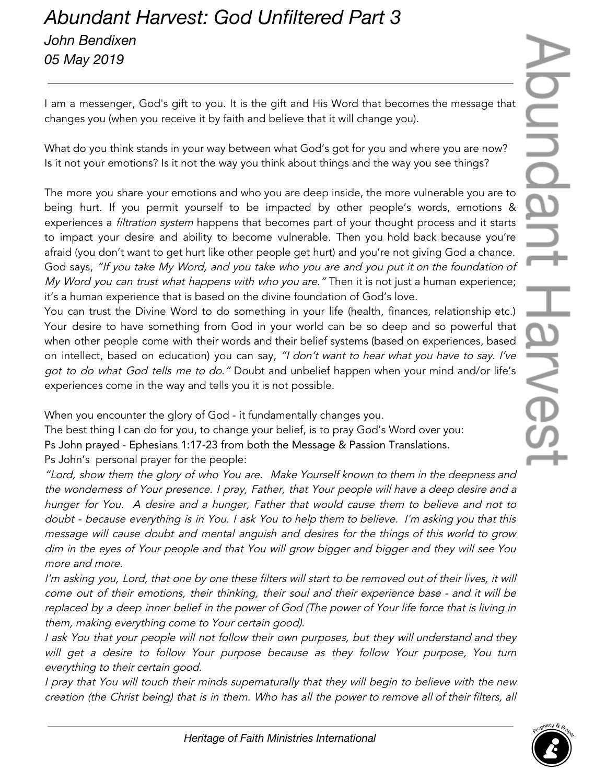## *Abundant Harvest: God Unfiltered Part 3 John Bendixen 05 May 2019*

I am a messenger, God's gift to you. It is the gift and His Word that becomes the message that changes you (when you receive it by faith and believe that it will change you).

What do you think stands in your way between what God's got for you and where you are now? Is it not your emotions? Is it not the way you think about things and the way you see things?

The more you share your emotions and who you are deep inside, the more vulnerable you are to being hurt. If you permit yourself to be impacted by other people's words, emotions & experiences a filtration system happens that becomes part of your thought process and it starts to impact your desire and ability to become vulnerable. Then you hold back because you're afraid (you don't want to get hurt like other people get hurt) and you're not giving God a chance. God says, "If you take My Word, and you take who you are and you put it on the foundation of My Word you can trust what happens with who you are." Then it is not just a human experience; it's a human experience that is based on the divine foundation of God's love.

You can trust the Divine Word to do something in your life (health, finances, relationship etc.) Your desire to have something from God in your world can be so deep and so powerful that when other people come with their words and their belief systems (based on experiences, based on intellect, based on education) you can say, "I don't want to hear what you have to say. I've got to do what God tells me to do." Doubt and unbelief happen when your mind and/or life's experiences come in the way and tells you it is not possible.

When you encounter the glory of God - it fundamentally changes you.

The best thing I can do for you, to change your belief, is to pray God's Word over you: Ps John prayed - Ephesians 1:17-23 from both the Message & Passion Translations. Ps John's personal prayer for the people:

"Lord, show them the <sup>g</sup>lory of who You are. Make Yourself known to them in the deepness and the wonderness of Your presence. <sup>I</sup> pray, Father, that Your people will have <sup>a</sup> deep desire and <sup>a</sup> hunger for You. A desire and <sup>a</sup> hunger, Father that would cause them to believe and not to doubt - because everything is in You. <sup>I</sup> ask You to help them to believe. I'm asking you that this message will cause doubt and mental anguish and desires for the things of this world to grow dim in the eyes of Your people and that You will grow bigger and bigger and they will see You more and more.

I'm asking you, Lord, that one by one these filters will start to be removed out of their lives, it will come out of their emotions, their thinking, their soul and their experience base - and it will be replaced by <sup>a</sup> deep inner belief in the power of God (The power of Your life force that is living in them, making everything come to Your certain good).

<sup>I</sup> ask You that your people will not follow their own purposes, but they will understand and they will get <sup>a</sup> desire to follow Your purpose because as they follow Your purpose, You turn everything to their certain good.

<sup>I</sup> pray that You will touch their minds supernaturally that they will begin to believe with the new creation (the Christ being) that is in them. Who has all the power to remove all of their filters, all